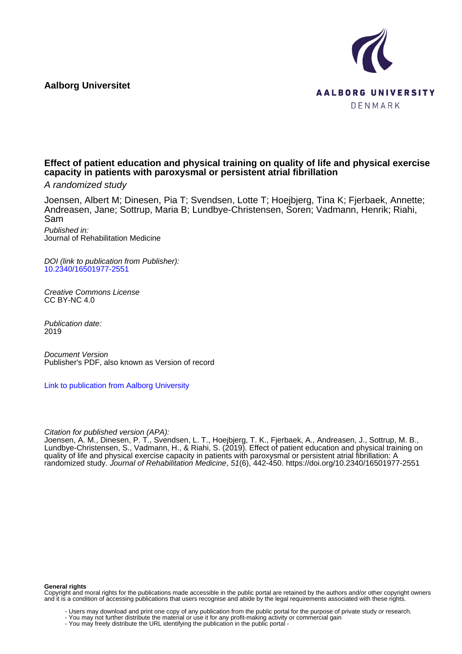**Aalborg Universitet**



# **Effect of patient education and physical training on quality of life and physical exercise capacity in patients with paroxysmal or persistent atrial fibrillation**

A randomized study

Joensen, Albert M; Dinesen, Pia T; Svendsen, Lotte T; Hoejbjerg, Tina K; Fjerbaek, Annette; Andreasen, Jane; Sottrup, Maria B; Lundbye-Christensen, Soren; Vadmann, Henrik; Riahi, Sam

Published in: Journal of Rehabilitation Medicine

DOI (link to publication from Publisher): [10.2340/16501977-2551](https://doi.org/10.2340/16501977-2551)

Creative Commons License CC BY-NC 4.0

Publication date: 2019

Document Version Publisher's PDF, also known as Version of record

[Link to publication from Aalborg University](https://vbn.aau.dk/en/publications/e964bfbd-b60c-48ac-aa9b-71d0e2a14f69)

Citation for published version (APA):

Joensen, A. M., Dinesen, P. T., Svendsen, L. T., Hoejbjerg, T. K., Fjerbaek, A., Andreasen, J., Sottrup, M. B., Lundbye-Christensen, S., Vadmann, H., & Riahi, S. (2019). Effect of patient education and physical training on quality of life and physical exercise capacity in patients with paroxysmal or persistent atrial fibrillation: A randomized study. Journal of Rehabilitation Medicine, 51(6), 442-450.<https://doi.org/10.2340/16501977-2551>

#### **General rights**

Copyright and moral rights for the publications made accessible in the public portal are retained by the authors and/or other copyright owners and it is a condition of accessing publications that users recognise and abide by the legal requirements associated with these rights.

- Users may download and print one copy of any publication from the public portal for the purpose of private study or research.

- You may not further distribute the material or use it for any profit-making activity or commercial gain

- You may freely distribute the URL identifying the publication in the public portal -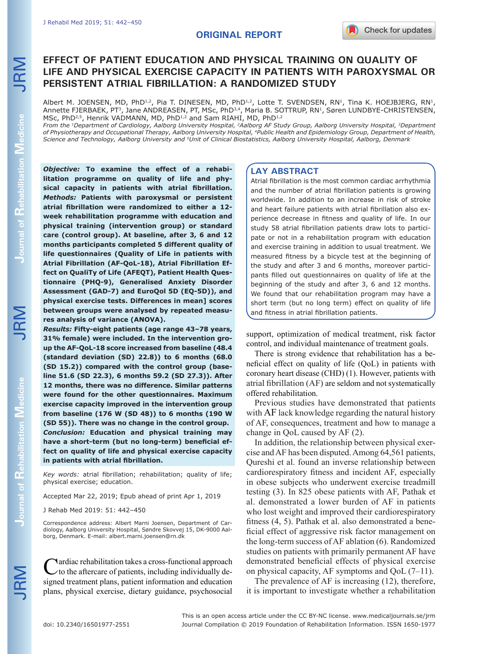# **ORIGINAL REPORT**

# **EFFECT OF PATIENT EDUCATION AND PHYSICAL TRAINING ON QUALITY OF LIFE AND PHYSICAL EXERCISE CAPACITY IN PATIENTS WITH PAROXYSMAL OR PERSISTENT ATRIAL FIBRILLATION: A RANDOMIZED STUDY**

Albert M. JOENSEN, MD, PhD<sup>1,2</sup>, Pia T. DINESEN, MD, PhD<sup>1,2</sup>, Lotte T. SVENDSEN, RN<sup>1</sup>, Tina K. HOEJBJERG, RN<sup>1</sup>, Annette FJERBAEK, PT<sup>3</sup>, Jane ANDREASEN, PT, MSc, PhD<sup>3,4</sup>, Maria B. SOTTRUP, RN<sup>1</sup>, Søren LUNDBYE-CHRISTENSEN, MSc, PhD<sup>2,5</sup>, Henrik VADMANN, MD, PhD<sup>1,2</sup> and Sam RIAHI, MD, PhD<sup>1,2</sup>

*From the 1Department of Cardiology, Aalborg University Hospital, 2Aalborg AF Study Group, Aalborg University Hospital, 3Department of Physiotherapy and Occupational Therapy, Aalborg University Hospital, 4Public Health and Epidemiology Group, Department of Health, Science and Technology, Aalborg University and 5Unit of Clinical Biostatistics, Aalborg University Hospital, Aalborg, Denmark* 

JRM

*Objective:* **To examine the effect of a rehabilitation programme on quality of life and physical capacity in patients with atrial fibrillation.**  *Methods:* **Patients with paroxysmal or persistent atrial fibrillation were randomized to either a 12 week rehabilitation programme with education and physical training (intervention group) or standard care (control group). At baseline, after 3, 6 and 12 months participants completed 5 different quality of life questionnaires (Quality of Life in patients with Atrial Fibrillation (AF-QoL-18), Atrial Fibrillation Effect on QualiTy of Life (AFEQT), Patient Health Questionnaire (PHQ-9), Generalised Anxiety Disorder Assessment (GAD-7) and EuroQol 5D (EQ-5D)), and physical exercise tests. Differences in mean] scores between groups were analysed by repeated measures analysis of variance (ANOVA).** 

*Results:* **Fifty-eight patients (age range 43–78 years, 31% female) were included. In the intervention group the AF-QoL-18 score increased from baseline (48.4 (standard deviation (SD) 22.8)) to 6 months (68.0 (SD 15.2)) compared with the control group (baseline 51.6 (SD 22.3), 6 months 59.2 (SD 27.3)). After 12 months, there was no difference. Similar patterns were found for the other questionnaires. Maximum exercise capacity improved in the intervention group from baseline (176 W (SD 48)) to 6 months (190 W (SD 55)). There was no change in the control group.**  *Conclusion:* **Education and physical training may have a short-term (but no long-term) beneficial effect on quality of life and physical exercise capacity in patients with atrial fibrillation.**

*Key words:* atrial fibrillation; rehabilitation; quality of life; physical exercise; education.

Accepted Mar 22, 2019; Epub ahead of print Apr 1, 2019

J Rehab Med 2019: 51: 442–450

Correspondence address: Albert Marni Joensen, Department of Cardiology, Aalborg University Hospital, Søndre Skovvej 15, DK-9000 Aalborg, Denmark. E-mail: albert.marni.joensen@rn.dk

**Nardiac rehabilitation takes a cross-functional approach** to the aftercare of patients, including individually designed treatment plans, patient information and education plans, physical exercise, dietary guidance, psychosocial

# **LAY ABSTRACT**

Atrial fibrillation is the most common cardiac arrhythmia and the number of atrial fibrillation patients is growing worldwide. In addition to an increase in risk of stroke and heart failure patients with atrial fibrillation also experience decrease in fitness and quality of life. In our study 58 atrial fibrillation patients draw lots to participate or not in a rehabilitation program with education and exercise training in addition to usual treatment. We measured fitness by a bicycle test at the beginning of the study and after 3 and 6 months, moreover participants filled out questionnaires on quality of life at the beginning of the study and after 3, 6 and 12 months. We found that our rehabilitation program may have a short term (but no long term) effect on quality of life and fitness in atrial fibrillation patients.

support, optimization of medical treatment, risk factor control, and individual maintenance of treatment goals.

There is strong evidence that rehabilitation has a beneficial effect on quality of life (QoL) in patients with coronary heart disease (CHD) (1). However, patients with atrial fibrillation (AF) are seldom and not systematically offered rehabilitation.

Previous studies have demonstrated that patients with AF lack knowledge regarding the natural history of AF, consequences, treatment and how to manage a change in QoL caused by AF (2).

In addition, the relationship between physical exercise and AF has been disputed. Among 64,561 patients, Qureshi et al. found an inverse relationship between cardiorespiratory fitness and incident AF, especially in obese subjects who underwent exercise treadmill testing (3). In 825 obese patients with AF, Pathak et al. demonstrated a lower burden of AF in patients who lost weight and improved their cardiorespiratory fitness (4, 5). Pathak et al. also demonstrated a beneficial effect of aggressive risk factor management on the long-term success of AF ablation (6). Randomized studies on patients with primarily permanent AF have demonstrated beneficial effects of physical exercise on physical capacity, AF symptoms and QoL (7–11).

The prevalence of AF is increasing (12), therefore, it is important to investigate whether a rehabilitation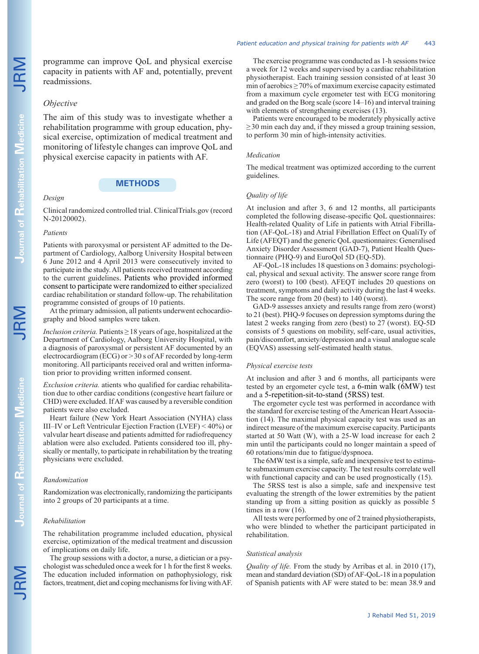# *Objective*

The aim of this study was to investigate whether a rehabilitation programme with group education, physical exercise, optimization of medical treatment and monitoring of lifestyle changes can improve QoL and physical exercise capacity in patients with AF.

# **METHODS**

# *Design*

Clinical randomized controlled trial. ClinicalTrials.gov (record N-20120002).

# *Patients*

Patients with paroxysmal or persistent AF admitted to the Department of Cardiology, Aalborg University Hospital between 6 June 2012 and 4 April 2013 were consecutively invited to participate in the study. All patients received treatment according to the current guidelines. Patients who provided informed consent to participate were randomized to either specialized cardiac rehabilitation or standard follow-up. The rehabilitation programme consisted of groups of 10 patients.

At the primary admission, all patients underwent echocardiography and blood samples were taken.

*Inclusion criteria*. Patients ≥18 years of age, hospitalized at the Department of Cardiology, Aalborg University Hospital, with a diagnosis of paroxysmal or persistent AF documented by an electrocardiogram (ECG) or >30 s of AF recorded by long-term monitoring. All participants received oral and written information prior to providing written informed consent.

*Exclusion criteria.* atients who qualified for cardiac rehabilitation due to other cardiac conditions (congestive heart failure or CHD) were excluded. If AF was caused by a reversible condition patients were also excluded.

Heart failure (New York Heart Association (NYHA) class III–IV or Left Ventricular Ejection Fraction (LVEF) < 40%) or valvular heart disease and patients admitted for radiofrequency ablation were also excluded. Patients considered too ill, physically or mentally, to participate in rehabilitation by the treating physicians were excluded.

#### *Randomization*

Randomization was electronically, randomizing the participants into 2 groups of 20 participants at a time.

#### *Rehabilitation*

The rehabilitation programme included education, physical exercise, optimization of the medical treatment and discussion of implications on daily life.

The group sessions with a doctor, a nurse, a dietician or a psychologist was scheduled once a week for 1 h for the first 8 weeks. The education included information on pathophysiology, risk factors, treatment, diet and coping mechanisms for living with AF.

The exercise programme was conducted as 1-h sessions twice a week for 12 weeks and supervised by a cardiac rehabilitation physiotherapist. Each training session consisted of at least 30 min of aerobics  $\geq$  70% of maximum exercise capacity estimated from a maximum cycle ergometer test with ECG monitoring and graded on the Borg scale (score 14–16) and interval training with elements of strengthening exercises (13).

Patients were encouraged to be moderately physically active  $\geq$  30 min each day and, if they missed a group training session, to perform 30 min of high-intensity activities.

### *Medication*

The medical treatment was optimized according to the current guidelines.

#### *Quality of life*

At inclusion and after 3, 6 and 12 months, all participants completed the following disease-specific QoL questionnaires: Health-related Quality of Life in patients with Atrial Fibrillation (AF-QoL-18) and Atrial Fibrillation Effect on QualiTy of Life (AFEQT) and the generic QoL questionnaires: Generalised Anxiety Disorder Assessment (GAD-7), Patient Health Questionnaire (PHQ-9) and EuroQol 5D (EQ-5D).

AF-QoL-18 includes 18 questions on 3 domains: psychological, physical and sexual activity. The answer score range from zero (worst) to 100 (best). AFEQT includes 20 questions on treatment, symptoms and daily activity during the last 4 weeks. The score range from 20 (best) to 140 (worst).

GAD-9 assesses anxiety and results range from zero (worst) to 21 (best). PHQ-9 focuses on depression symptoms during the latest 2 weeks ranging from zero (best) to 27 (worst). EQ-5D consists of 5 questions on mobility, self-care, usual activities, pain/discomfort, anxiety/depression and a visual analogue scale (EQVAS) assessing self-estimated health status.

#### *Physical exercise tests*

At inclusion and after 3 and 6 months, all participants were tested by an ergometer cycle test, a 6-min walk (6MW) test and a 5-repetition-sit-to-stand (5RSS) test.

The ergometer cycle test was performed in accordance with the standard for exercise testing of the American Heart Association (14). The maximal physical capacity test was used as an indirect measure of the maximum exercise capacity. Participants started at 50 Watt (W), with a 25-W load increase for each 2 min until the participants could no longer maintain a speed of 60 rotations/min due to fatigue/dyspnoea.

The 6MW test is a simple, safe and inexpensive test to estimate submaximum exercise capacity. The test results correlate well with functional capacity and can be used prognostically (15).

The 5RSS test is also a simple, safe and inexpensive test evaluating the strength of the lower extremities by the patient standing up from a sitting position as quickly as possible 5 times in a row (16).

All tests were performed by one of 2 trained physiotherapists, who were blinded to whether the participant participated in rehabilitation.

#### *Statistical analysis*

*Quality of life.* From the study by Arribas et al. in 2010 (17), mean and standard deviation (SD) of AF-QoL-18 in a population of Spanish patients with AF were stated to be: mean 38.9 and

**Journal of** 

**Rehabilitation Journal of Rehabilitation Medicine** 

**Journal of** 

**Rehabilitation**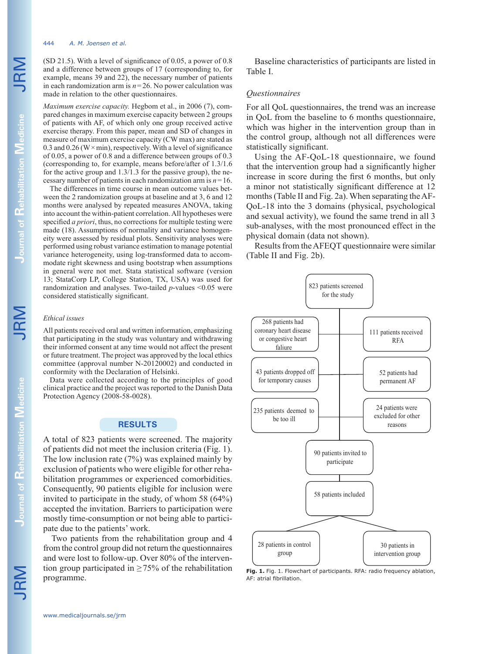(SD 21.5). With a level of significance of 0.05, a power of 0.8 and a difference between groups of 17 (corresponding to, for example, means 39 and 22), the necessary number of patients in each randomization arm is  $n=26$ . No power calculation was made in relation to the other questionnaires.

*Maximum exercise capacity.* Hegbom et al., in 2006 (7), compared changes in maximum exercise capacity between 2 groups of patients with AF, of which only one group received active exercise therapy. From this paper, mean and SD of changes in measure of maximum exercise capacity (CW max) are stated as 0.3 and 0.26 (W  $\times$  min), respectively. With a level of significance of 0.05, a power of 0.8 and a difference between groups of 0.3 (corresponding to, for example, means before/after of 1.3/1.6 for the active group and 1.3/1.3 for the passive group), the necessary number of patients in each randomization arm is *n*=16.

The differences in time course in mean outcome values between the 2 randomization groups at baseline and at 3, 6 and 12 months were analysed by repeated measures ANOVA, taking into account the within-patient correlation. All hypotheses were specified *a priori*, thus, no corrections for multiple testing were made (18). Assumptions of normality and variance homogeneity were assessed by residual plots. Sensitivity analyses were performed using robust variance estimation to manage potential variance heterogeneity, using log-transformed data to accommodate right skewness and using bootstrap when assumptions in general were not met. Stata statistical software (version 13; StataCorp LP, College Station, TX, USA) was used for randomization and analyses. Two-tailed *p*-values <0.05 were considered statistically significant.

### *Ethical issues*

All patients received oral and written information, emphasizing that participating in the study was voluntary and withdrawing their informed consent at any time would not affect the present or future treatment. The project was approved by the local ethics committee (approval number N-20120002) and conducted in conformity with the Declaration of Helsinki.

Data were collected according to the principles of good clinical practice and the project was reported to the Danish Data Protection Agency (2008-58-0028).

# **RESULTS**

A total of 823 patients were screened. The majority of patients did not meet the inclusion criteria (Fig. 1). The low inclusion rate (7%) was explained mainly by exclusion of patients who were eligible for other rehabilitation programmes or experienced comorbidities. Consequently, 90 patients eligible for inclusion were invited to participate in the study, of whom 58 (64%) accepted the invitation. Barriers to participation were mostly time-consumption or not being able to participate due to the patients' work.

Two patients from the rehabilitation group and 4 from the control group did not return the questionnaires and were lost to follow-up. Over 80% of the intervention group participated in  $\geq$  75% of the rehabilitation programme.

Baseline characteristics of participants are listed in Table I.

### *Questionnaires*

For all QoL questionnaires, the trend was an increase in QoL from the baseline to 6 months questionnaire, which was higher in the intervention group than in the control group, although not all differences were statistically significant.

Using the AF-QoL-18 questionnaire, we found that the intervention group had a significantly higher increase in score during the first 6 months, but only a minor not statistically significant difference at 12 months (Table II and Fig. 2a). When separating the AF-QoL-18 into the 3 domains (physical, psychological and sexual activity), we found the same trend in all 3 sub-analyses, with the most pronounced effect in the physical domain (data not shown).

Results from the AFEQT questionnaire were similar (Table II and Fig. 2b).



**Fig. 1.** Fig. 1. Flowchart of participants. RFA: radio frequency ablation, AF: atrial fibrillation.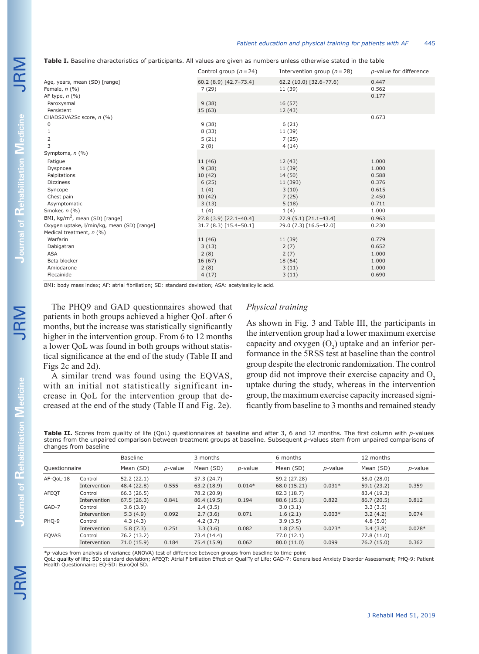**Journal of** 

|                                            | Control group $(n=24)$ | Intervention group ( $n = 28$ ) | p-value for difference |
|--------------------------------------------|------------------------|---------------------------------|------------------------|
| Age, years, mean (SD) [range]              | 60.2 (8.9) [42.7-73.4] | 62.2 (10.0) [32.6-77.6)         | 0.447                  |
| Female, $n$ (%)                            | 7(29)                  | 11 (39)                         | 0.562                  |
| AF type, $n$ (%)                           |                        |                                 | 0.177                  |
| Paroxysmal                                 | 9(38)                  | 16(57)                          |                        |
| Persistent                                 | 15 (63)                | 12(43)                          |                        |
| CHADS2VA2Sc score, n (%)                   |                        |                                 | 0.673                  |
| 0                                          | 9(38)                  | 6(21)                           |                        |
|                                            | 8(33)                  | 11 (39)                         |                        |
| 2                                          | 5(21)                  | 7(25)                           |                        |
| 3                                          | 2(8)                   | 4(14)                           |                        |
| Symptoms, $n$ (%)                          |                        |                                 |                        |
| Fatigue                                    | 11 (46)                | 12(43)                          | 1.000                  |
| Dyspnoea                                   | 9(38)                  | 11 (39)                         | 1.000                  |
| Palpitations                               | 10(42)                 | 14 (50)                         | 0.588                  |
| <b>Dizziness</b>                           | 6(25)                  | 11 (393)                        | 0.376                  |
| Syncope                                    | 1(4)                   | 3(10)                           | 0.615                  |
| Chest pain                                 | 10(42)                 | 7(25)                           | 2.450                  |
| Asymptomatic                               | 3(13)                  | 5(18)                           | 0.711                  |
| Smoker, n (%)                              | 1(4)                   | 1(4)                            | 1.000                  |
| BMI, kg/m <sup>2</sup> , mean (SD) [range] | 27.8 (3.9) [22.1-40.4] | 27.9 (5.1) [21.1-43.4]          | 0.963                  |
| Oxygen uptake, I/min/kg, mean (SD) [range] | 31.7 (8.3) [15.4-50.1] | 29.0 (7.3) [16.5-42.0]          | 0.230                  |
| Medical treatment, n (%)                   |                        |                                 |                        |
| Warfarin                                   | 11 (46)                | 11 (39)                         | 0.779                  |
| Dabigatran                                 | 3(13)                  | 2(7)                            | 0.652                  |
| ASA                                        | 2(8)                   | 2(7)                            | 1.000                  |
| Beta blocker                               | 16 (67)                | 18 (64)                         | 1.000                  |
| Amiodarone                                 | 2(8)                   | 3(11)                           | 1.000                  |
| Flecainide                                 | 4(17)                  | 3(11)                           | 0.690                  |

BMI: body mass index; AF: atrial fibrillation; SD: standard deviation; ASA: acetylsalicylic acid.

The PHQ9 and GAD questionnaires showed that patients in both groups achieved a higher QoL after 6 months, but the increase was statistically significantly higher in the intervention group. From 6 to 12 months a lower QoL was found in both groups without statistical significance at the end of the study (Table II and Figs 2c and 2d).

A similar trend was found using the EQVAS, with an initial not statistically significant increase in QoL for the intervention group that decreased at the end of the study (Table II and Fig. 2e).

### *Physical training*

As shown in Fig. 3 and Table III, the participants in the intervention group had a lower maximum exercise capacity and oxygen  $(O_2)$  uptake and an inferior performance in the 5RSS test at baseline than the control group despite the electronic randomization. The control group did not improve their exercise capacity and  $O<sub>2</sub>$ uptake during the study, whereas in the intervention group, the maximum exercise capacity increased significantly from baseline to 3 months and remained steady

**Table II.** Scores from quality of life (QoL) questionnaires at baseline and after 3, 6 and 12 months. The first column with *p*-values stems from the unpaired comparison between treatment groups at baseline. Subsequent *p*-values stem from unpaired comparisons of changes from baseline

|               |              | <b>Baseline</b> |            | 3 months    |            | 6 months     |            | 12 months   |            |
|---------------|--------------|-----------------|------------|-------------|------------|--------------|------------|-------------|------------|
| Questionnaire |              | Mean (SD)       | $p$ -value | Mean (SD)   | $p$ -value | Mean (SD)    | $p$ -value | Mean (SD)   | $p$ -value |
| AF-QoL-18     | Control      | 52.2 (22.1)     |            | 57.3 (24.7) |            | 59.2 (27.28) |            | 58.0 (28.0) |            |
|               | Intervention | 48.4 (22.8)     | 0.555      | 63.2 (18.9) | $0.014*$   | 68.0 (15.21) | $0.031*$   | 59.1 (23.2) | 0.359      |
| AFEOT         | Control      | 66.3 (26.5)     |            | 78.2 (20.9) |            | 82.3 (18.7)  |            | 83.4 (19.3) |            |
|               | Intervention | 67.5(26.3)      | 0.841      | 86.4 (19.5) | 0.194      | 88.6 (15.1)  | 0.822      | 86.7 (20.5) | 0.812      |
| GAD-7         | Control      | 3.6(3.9)        |            | 2.4(3.5)    |            | 3.0(3.1)     |            | 3.3(3.5)    |            |
|               | Intervention | 5.3(4.9)        | 0.092      | 2.7(3.6)    | 0.071      | 1.6(2.1)     | $0.003*$   | 3.2(4.2)    | 0.074      |
| PHQ-9         | Control      | 4.3(4.3)        |            | 4.2(3.7)    |            | 3.9(3.5)     |            | 4.8(5.0)    |            |
|               | Intervention | 5.8(7.3)        | 0.251      | 3.3(3.6)    | 0.082      | 1.8(2.5)     | $0.023*$   | 3.4(3.8)    | $0.028*$   |
| <b>EQVAS</b>  | Control      | 76.2 (13.2)     |            | 73.4 (14.4) |            | 77.0(12.1)   |            | 77.8 (11.0) |            |
|               | Intervention | 71.0(15.9)      | 0.184      | 75.4 (15.9) | 0.062      | 80.0 (11.0)  | 0.099      | 76.2 (15.0) | 0.362      |

\**p*-values from analysis of variance (ANOVA) test of difference between groups from baseline to time-point

QoL: quality of life; SD: standard deviation; AFEQT: Atrial Fibrillation Effect on QualiTy of Life; GAD-7: Generalised Anxiety Disorder Assessment; PHQ-9: Patient Health Questionnaire; EQ-5D: EuroQol 5D.

JRM

**Journal of** 

**Rehabilitation Journal of Rehabilitation Medicine**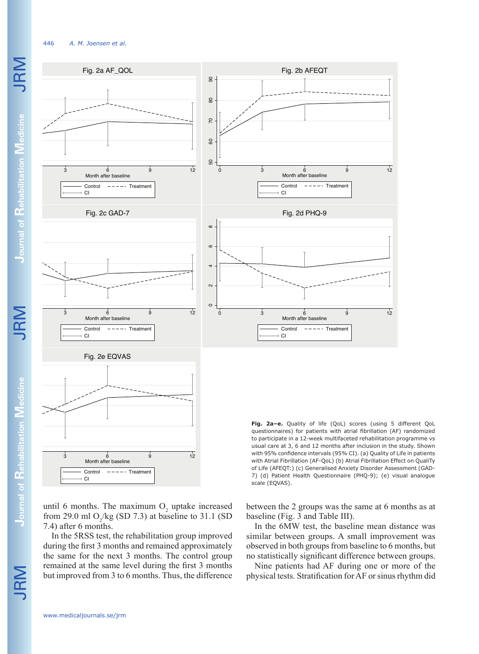

until 6 months. The maximum  $O_2$  uptake increased from 29.0 ml  $O_2$ /kg (SD 7.3) at baseline to 31.1 (SD 7.4) after 6 months.

In the 5RSS test, the rehabilitation group improved during the first 3 months and remained approximately the same for the next 3 months. The control group remained at the same level during the first 3 months but improved from 3 to 6 months. Thus, the difference between the 2 groups was the same at 6 months as at baseline (Fig. 3 and Table III).

In the 6MW test, the baseline mean distance was similar between groups. A small improvement was observed in both groups from baseline to 6 months, but no statistically significant difference between groups.

Nine patients had AF during one or more of the physical tests. Stratification for AF or sinus rhythm did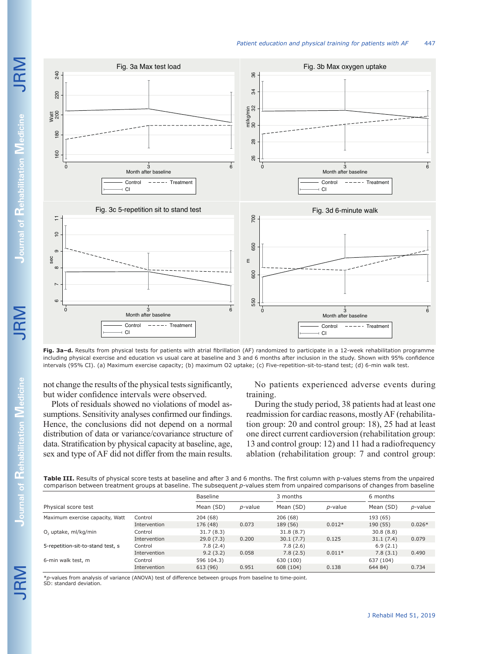

**Fig. 3a–d.** Results from physical tests for patients with atrial fibrillation (AF) randomized to participate in a 12-week rehabilitation programme including physical exercise and education vs usual care at baseline and 3 and 6 months after inclusion in the study. Shown with 95% confidence

not change the results of the physical tests significantly, but wider confidence intervals were observed.

Plots of residuals showed no violations of model assumptions. Sensitivity analyses confirmed our findings. Hence, the conclusions did not depend on a normal distribution of data or variance/covariance structure of data. Stratification by physical capacity at baseline, age, sex and type of AF did not differ from the main results.

No patients experienced adverse events during training.

During the study period, 38 patients had at least one readmission for cardiac reasons, mostly AF (rehabilitation group: 20 and control group: 18), 25 had at least one direct current cardioversion (rehabilitation group: 13 and control group: 12) and 11 had a radiofrequency ablation (rehabilitation group: 7 and control group:

| Table III. Results of physical score tests at baseline and after 3 and 6 months. The first column with p-values stems from the unpaired |  |  |  |  |
|-----------------------------------------------------------------------------------------------------------------------------------------|--|--|--|--|
| comparison between treatment groups at baseline. The subsequent p-values stem from unpaired comparisons of changes from baseline        |  |  |  |  |

|                                   |              | <b>Baseline</b> |            | 3 months  |                 | 6 months  |            |
|-----------------------------------|--------------|-----------------|------------|-----------|-----------------|-----------|------------|
| Physical score test               |              | Mean (SD)       | $p$ -value | Mean (SD) | <i>p</i> -value | Mean (SD) | $p$ -value |
| Maximum exercise capacity, Watt   | Control      | 204(68)         |            | 206(68)   |                 | 193 (65)  |            |
|                                   | Intervention | 176 (48)        | 0.073      | 189 (56)  | $0.012*$        | 190 (55)  | $0.026*$   |
| O, uptake, ml/kg/min              | Control      | 31.7(8.3)       |            | 31.8(8.7) |                 | 30.8(8.8) |            |
|                                   | Intervention | 29.0(7.3)       | 0.200      | 30.1(7.7) | 0.125           | 31.1(7.4) | 0.079      |
| 5-repetition-sit-to-stand test, s | Control      | 7.8(2.4)        |            | 7.8(2.6)  |                 | 6.9(2.1)  |            |
|                                   | Intervention | 9.2(3.2)        | 0.058      | 7.8(2.5)  | $0.011*$        | 7.8(3.1)  | 0.490      |
| 6-min walk test, m                | Control      | 596 104.3)      |            | 630 (100) |                 | 637 (104) |            |
|                                   | Intervention | 613 (96)        | 0.951      | 608 (104) | 0.138           | 644 84)   | 0.734      |

\**p*-values from analysis of variance (ANOVA) test of difference between groups from baseline to time-point. SD: standard deviation.

JRM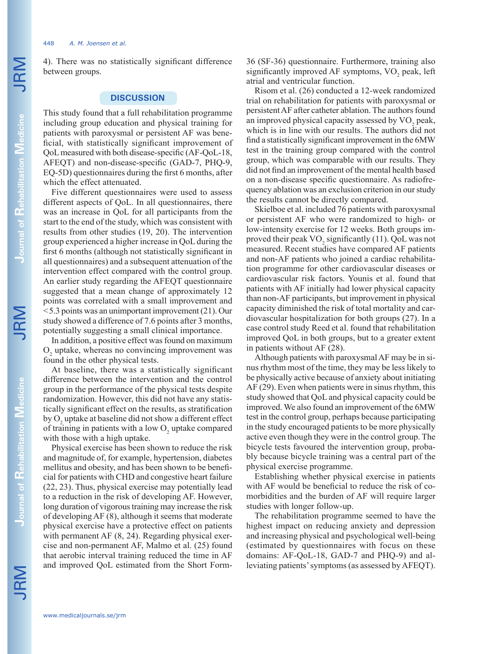4). There was no statistically significant difference between groups.

# **DISCUSSION**

This study found that a full rehabilitation programme including group education and physical training for patients with paroxysmal or persistent AF was beneficial, with statistically significant improvement of QoL measured with both disease-specific (AF-QoL-18, AFEQT) and non-disease-specific (GAD-7, PHQ-9, EQ-5D) questionnaires during the first 6 months, after which the effect attenuated.

Five different questionnaires were used to assess different aspects of QoL. In all questionnaires, there was an increase in QoL for all participants from the start to the end of the study, which was consistent with results from other studies (19, 20). The intervention group experienced a higher increase in QoL during the first 6 months (although not statistically significant in all questionnaires) and a subsequent attenuation of the intervention effect compared with the control group. An earlier study regarding the AFEQT questionnaire suggested that a mean change of approximately 12 points was correlated with a small improvement and <5.3 points was an unimportant improvement (21). Our study showed a difference of 7.6 points after 3 months, potentially suggesting a small clinical importance.

In addition, a positive effect was found on maximum  $O<sub>2</sub>$  uptake, whereas no convincing improvement was found in the other physical tests.

At baseline, there was a statistically significant difference between the intervention and the control group in the performance of the physical tests despite randomization. However, this did not have any statistically significant effect on the results, as stratification by  $O_2$  uptake at baseline did not show a different effect of training in patients with a low  $O_2$  uptake compared with those with a high uptake.

Physical exercise has been shown to reduce the risk and magnitude of, for example, hypertension, diabetes mellitus and obesity, and has been shown to be beneficial for patients with CHD and congestive heart failure (22, 23). Thus, physical exercise may potentially lead to a reduction in the risk of developing AF. However, long duration of vigorous training may increase the risk of developing AF (8), although it seems that moderate physical exercise have a protective effect on patients with permanent AF (8, 24). Regarding physical exercise and non-permanent AF, Malmo et al. (25) found that aerobic interval training reduced the time in AF and improved QoL estimated from the Short Form36 (SF-36) questionnaire. Furthermore, training also significantly improved AF symptoms,  $VO<sub>2</sub>$  peak, left atrial and ventricular function.

Risom et al. (26) conducted a 12-week randomized trial on rehabilitation for patients with paroxysmal or persistent AF after catheter ablation. The authors found an improved physical capacity assessed by  $VO<sub>2</sub>$  peak, which is in line with our results. The authors did not find a statistically significant improvement in the 6MW test in the training group compared with the control group, which was comparable with our results. They did not find an improvement of the mental health based on a non-disease specific questionnaire. As radiofrequency ablation was an exclusion criterion in our study the results cannot be directly compared.

Skielboe et al. included 76 patients with paroxysmal or persistent AF who were randomized to high- or low-intensity exercise for 12 weeks. Both groups improved their peak  $VO<sub>2</sub>$  significantly (11). QoL was not measured. Recent studies have compared AF patients and non-AF patients who joined a cardiac rehabilitation programme for other cardiovascular diseases or cardiovascular risk factors. Younis et al. found that patients with AF initially had lower physical capacity than non-AF participants, but improvement in physical capacity diminished the risk of total mortality and cardiovascular hospitalization for both groups (27). In a case control study Reed et al. found that rehabilitation improved QoL in both groups, but to a greater extent in patients without AF (28).

Although patients with paroxysmal AF may be in sinus rhythm most of the time, they may be less likely to be physically active because of anxiety about initiating AF (29). Even when patients were in sinus rhythm, this study showed that QoL and physical capacity could be improved. We also found an improvement of the 6MW test in the control group, perhaps because participating in the study encouraged patients to be more physically active even though they were in the control group. The bicycle tests favoured the intervention group, probably because bicycle training was a central part of the physical exercise programme.

Establishing whether physical exercise in patients with AF would be beneficial to reduce the risk of comorbidities and the burden of AF will require larger studies with longer follow-up.

The rehabilitation programme seemed to have the highest impact on reducing anxiety and depression and increasing physical and psychological well-being (estimated by questionnaires with focus on these domains: AF-QoL-18, GAD-7 and PHQ-9) and alleviating patients' symptoms (as assessed by AFEQT).

JRM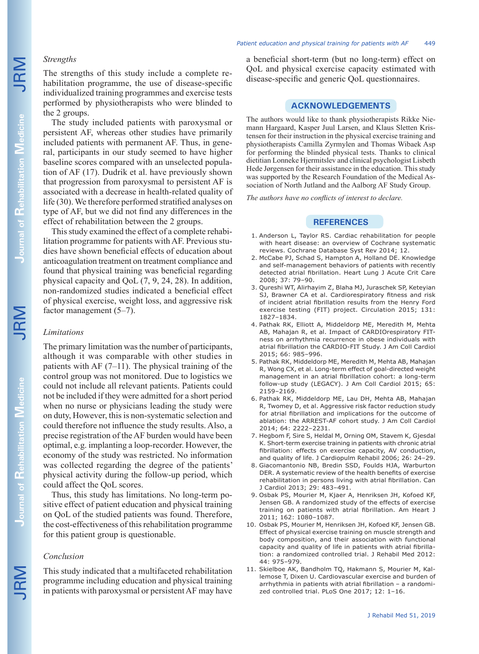# *Strengths*

The strengths of this study include a complete rehabilitation programme, the use of disease-specific individualized training programmes and exercise tests performed by physiotherapists who were blinded to the 2 groups.

The study included patients with paroxysmal or persistent AF, whereas other studies have primarily included patients with permanent AF. Thus, in general, participants in our study seemed to have higher baseline scores compared with an unselected population of AF (17). Dudrik et al. have previously shown that progression from paroxysmal to persistent AF is associated with a decrease in health-related quality of life (30). We therefore performed stratified analyses on type of AF, but we did not find any differences in the effect of rehabilitation between the 2 groups.

This study examined the effect of a complete rehabilitation programme for patients with AF. Previous studies have shown beneficial effects of education about anticoagulation treatment on treatment compliance and found that physical training was beneficial regarding physical capacity and QoL (7, 9, 24, 28). In addition, non-randomized studies indicated a beneficial effect of physical exercise, weight loss, and aggressive risk factor management (5–7).

# *Limitations*

The primary limitation was the number of participants, although it was comparable with other studies in patients with AF  $(7-11)$ . The physical training of the control group was not monitored. Due to logistics we could not include all relevant patients. Patients could not be included if they were admitted for a short period when no nurse or physicians leading the study were on duty, However, this is non-systematic selection and could therefore not influence the study results. Also, a precise registration of the AF burden would have been optimal, e.g. implanting a loop-recorder. However, the economy of the study was restricted. No information was collected regarding the degree of the patients' physical activity during the follow-up period, which could affect the QoL scores.

Thus, this study has limitations. No long-term positive effect of patient education and physical training on QoL of the studied patients was found. Therefore, the cost-effectiveness of this rehabilitation programme for this patient group is questionable.

### *Conclusion*

This study indicated that a multifaceted rehabilitation programme including education and physical training in patients with paroxysmal or persistent AF may have a beneficial short-term (but no long-term) effect on QoL and physical exercise capacity estimated with disease-specific and generic QoL questionnaires.

# **ACKNOWLEDGEMENTS**

The authors would like to thank physiotherapists Rikke Niemann Hargaard, Kasper Juul Larsen, and Klaus Sletten Kristensen for their instruction in the physical exercise training and physiotherapists Camilla Zyrmylen and Thomas Wibaek Asp for performing the blinded physical tests. Thanks to clinical dietitian Lonneke Hjermitslev and clinical psychologist Lisbeth Hede Jørgensen for their assistance in the education. This study was supported by the Research Foundation of the Medical Association of North Jutland and the Aalborg AF Study Group.

*The authors have no conflicts of interest to declare.*

# **REFERENCES**

- 1. Anderson L, Taylor RS. Cardiac rehabilitation for people with heart disease: an overview of Cochrane systematic reviews. Cochrane Database Syst Rev 2014; 12.
- 2. McCabe PJ, Schad S, Hampton A, Holland DE. Knowledge and self-management behaviors of patients with recently detected atrial fibrillation. Heart Lung J Acute Crit Care 2008; 37: 79–90.
- 3. Qureshi WT, Alirhayim Z, Blaha MJ, Juraschek SP, Keteyian SJ, Brawner CA et al. Cardiorespiratory fitness and risk of incident atrial fibrillation results from the Henry Ford exercise testing (FIT) project. Circulation 2015; 131: 1827–1834.
- 4. Pathak RK, Elliott A, Middeldorp ME, Meredith M, Mehta AB, Mahajan R, et al. Impact of CARDIOrespiratory FITness on arrhythmia recurrence in obese individuals with atrial fibrillation the CARDIO-FIT Study. J Am Coll Cardiol 2015; 66: 985–996.
- 5. Pathak RK, Middeldorp ME, Meredith M, Mehta AB, Mahajan R, Wong CX, et al. Long-term effect of goal-directed weight management in an atrial fibrillation cohort: a long-term follow-up study (LEGACY). J Am Coll Cardiol 2015; 65: 2159–2169.
- 6. Pathak RK, Middeldorp ME, Lau DH, Mehta AB, Mahajan R, Twomey D, et al. Aggressive risk factor reduction study for atrial fibrillation and implications for the outcome of ablation: the ARREST-AF cohort study. J Am Coll Cardiol 2014; 64: 2222–2231.
- 7. Hegbom F, Sire S, Heldal M, Orning OM, Stavem K, Gjesdal K. Short-term exercise training in patients with chronic atrial fibrillation: effects on exercise capacity, AV conduction, and quality of life. J Cardiopulm Rehabil 2006; 26: 24–29.
- 8. Giacomantonio NB, Bredin SSD, Foulds HJA, Warburton DER. A systematic review of the health benefits of exercise rehabilitation in persons living with atrial fibrillation. Can J Cardiol 2013; 29: 483–491.
- 9. Osbak PS, Mourier M, Kjaer A, Henriksen JH, Kofoed KF, Jensen GB. A randomized study of the effects of exercise training on patients with atrial fibrillation. Am Heart J 2011; 162: 1080–1087.
- 10. Osbak PS, Mourier M, Henriksen JH, Kofoed KF, Jensen GB. Effect of physical exercise training on muscle strength and body composition, and their association with functional capacity and quality of life in patients with atrial fibrillation: a randomized controlled trial. J Rehabil Med 2012: 44: 975–979.
- 11. Skielboe AK, Bandholm TQ, Hakmann S, Mourier M, Kallemose T, Dixen U. Cardiovascular exercise and burden of arrhythmia in patients with atrial fibrillation – a randomized controlled trial. PLoS One 2017; 12: 1–16.

**Journal of** 

**Rehabilitation Journal of Rehabilitation Medicine**